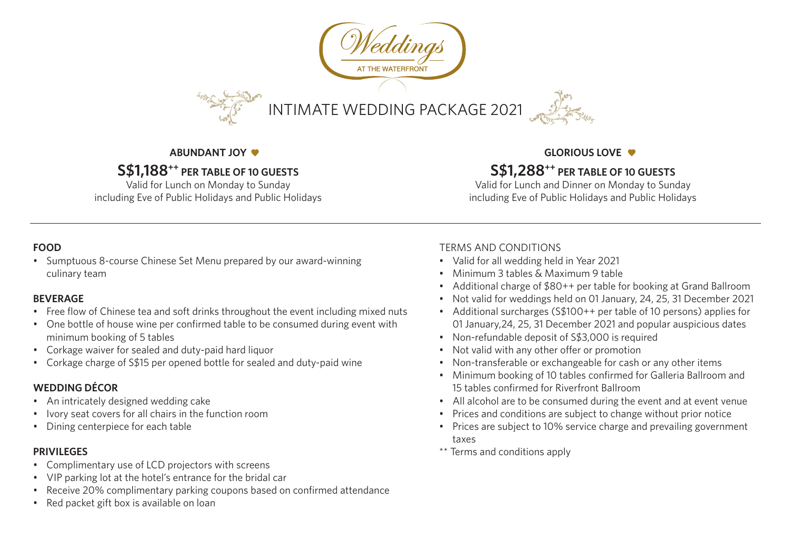

#### **ABUNDANT JOY**

# **S\$1,188++ PER TABLE OF 10 GUESTS**

Valid for Lunch on Monday to Sunday including Eve of Public Holidays and Public Holidays

#### **GLORIOUS LOVE**

## **S\$1,288++ PER TABLE OF 10 GUESTS**

Valid for Lunch and Dinner on Monday to Sunday including Eve of Public Holidays and Public Holidays

#### **FOOD**

• Sumptuous 8-course Chinese Set Menu prepared by our award-winning culinary team

#### **BEVERAGE**

- Free flow of Chinese tea and soft drinks throughout the event including mixed nuts
- One bottle of house wine per confirmed table to be consumed during event with minimum booking of 5 tables
- Corkage waiver for sealed and duty-paid hard liquor
- Corkage charge of S\$15 per opened bottle for sealed and duty-paid wine

## **WEDDING DÉCOR**

- An intricately designed wedding cake
- Ivory seat covers for all chairs in the function room
- Dining centerpiece for each table

#### **PRIVILEGES**

- Complimentary use of LCD projectors with screens
- VIP parking lot at the hotel's entrance for the bridal car
- Receive 20% complimentary parking coupons based on confirmed attendance
- Red packet gift box is available on loan

## TERMS AND CONDITIONS

- Valid for all wedding held in Year 2021
- Minimum 3 tables & Maximum 9 table
- Additional charge of \$80++ per table for booking at Grand Ballroom
- Not valid for weddings held on 01 January, 24, 25, 31 December 2021
- Additional surcharges (S\$100++ per table of 10 persons) applies for 01 January,24, 25, 31 December 2021 and popular auspicious dates
- Non-refundable deposit of S\$3,000 is required
- Not valid with any other offer or promotion
- Non-transferable or exchangeable for cash or any other items
- Minimum booking of 10 tables confirmed for Galleria Ballroom and 15 tables confirmed for Riverfront Ballroom
- All alcohol are to be consumed during the event and at event venue
- Prices and conditions are subject to change without prior notice
- Prices are subject to 10% service charge and prevailing government taxes
- \*\* Terms and conditions apply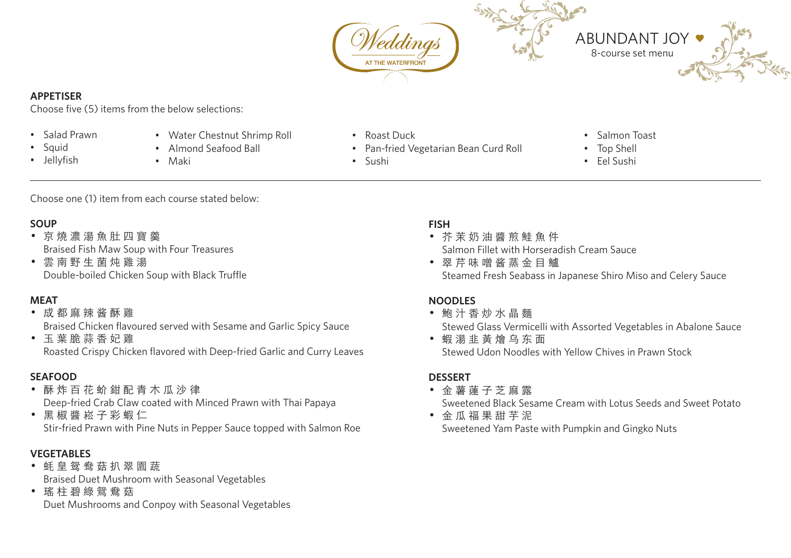

#### **APPETISER**

Choose five (5) items from the below selections:

- Salad Prawn
- Squid
- Jellyfish
- Water Chestnut Shrimp Roll
- Almond Seafood Ball
- Maki
- Roast Duck
- Pan-fried Vegetarian Bean Curd Roll
- Sushi
- Salmon Toast
- Top Shell
- Eel Sushi

Choose one (1) item from each course stated below:

## **SOUP**

- • 京 燒 濃 湯 魚 肚 四 寶 羹 Braised Fish Maw Soup with Four Treasures
- • 雲 南 野 生 菌 炖 雞 湯 Double-boiled Chicken Soup with Black Truffle

#### **MEAT**

## • 成 都 麻 辣 酱 酥 雞

Braised Chicken flavoured served with Sesame and Garlic Spicy Sauce

• 玉 葉 脆 蒜 香 妃 雞 Roasted Crispy Chicken flavored with Deep-fried Garlic and Curry Leaves

#### **SEAFOOD**

- • 酥 炸 百 花 蚧 鉗 配 青 木 瓜 沙 律 Deep-fried Crab Claw coated with Minced Prawn with Thai Papaya
- 黑椒醬崧子彩蝦仁 Stir-fried Prawn with Pine Nuts in Pepper Sauce topped with Salmon Roe

## **VEGETABLES**

- • 蚝 皇 鸳 鸯 菇 扒 翠 園 蔬 Braised Duet Mushroom with Seasonal Vegetables
- 瑤 柱 碧 綠 鴛 鴦 菇 Duet Mushrooms and Conpoy with Seasonal Vegetables

#### **FISH**

- • 芥 茉 奶 油 醬 煎 鮭 魚 件 Salmon Fillet with Horseradish Cream Sauce
- • 翠 芹 味 噌 酱 蒸 金 目 鱸 Steamed Fresh Seabass in Japanese Shiro Miso and Celery Sauce

## **NOODLES**

- • 鮑 汁 香 炒 水 晶 麵 Stewed Glass Vermicelli with Assorted Vegetables in Abalone Sauce
- • 蝦 湯 韭 黃 燴 乌 东 面 Stewed Udon Noodles with Yellow Chives in Prawn Stock

## **DESSERT**

• 金 薯 蓮 子 芝 麻 露

Sweetened Black Sesame Cream with Lotus Seeds and Sweet Potato

• 金瓜福果甜芋泥 Sweetened Yam Paste with Pumpkin and Gingko Nuts